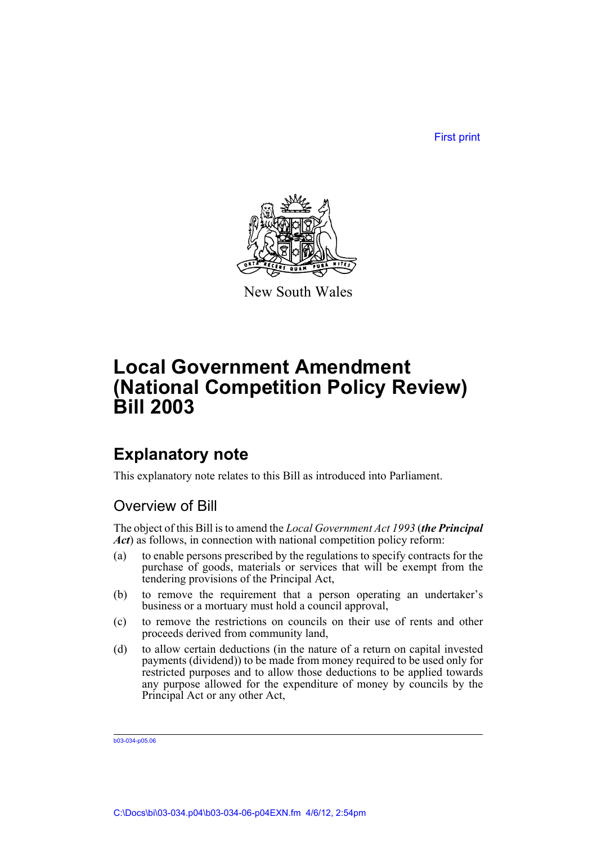First print



New South Wales

# **Local Government Amendment (National Competition Policy Review) Bill 2003**

## **Explanatory note**

This explanatory note relates to this Bill as introduced into Parliament.

## Overview of Bill

The object of this Bill is to amend the *Local Government Act 1993* (*the Principal Act*) as follows, in connection with national competition policy reform:

- (a) to enable persons prescribed by the regulations to specify contracts for the purchase of goods, materials or services that will be exempt from the tendering provisions of the Principal Act,
- (b) to remove the requirement that a person operating an undertaker's business or a mortuary must hold a council approval,
- (c) to remove the restrictions on councils on their use of rents and other proceeds derived from community land,
- (d) to allow certain deductions (in the nature of a return on capital invested payments (dividend)) to be made from money required to be used only for restricted purposes and to allow those deductions to be applied towards any purpose allowed for the expenditure of money by councils by the Principal Act or any other Act,

b03-034-p05.06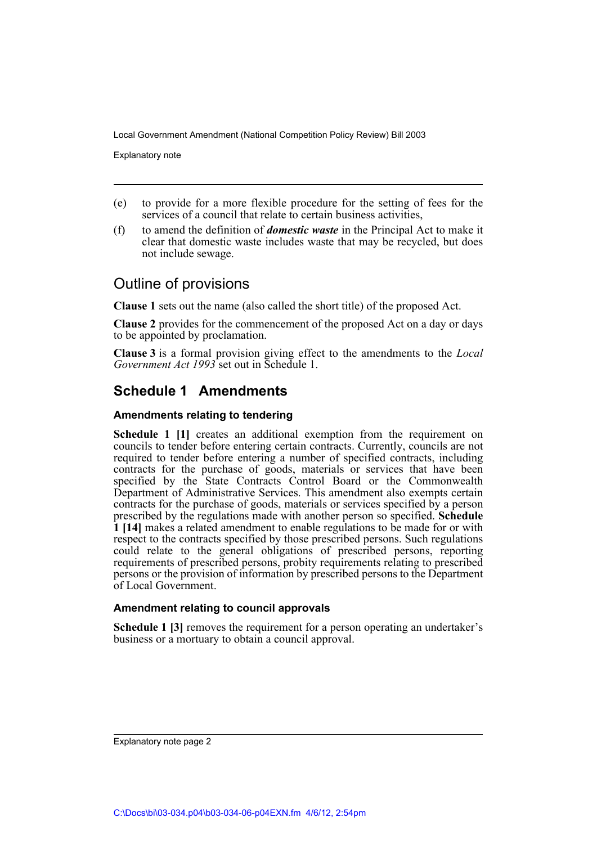Explanatory note

- (e) to provide for a more flexible procedure for the setting of fees for the services of a council that relate to certain business activities,
- (f) to amend the definition of *domestic waste* in the Principal Act to make it clear that domestic waste includes waste that may be recycled, but does not include sewage.

## Outline of provisions

**Clause 1** sets out the name (also called the short title) of the proposed Act.

**Clause 2** provides for the commencement of the proposed Act on a day or days to be appointed by proclamation.

**Clause 3** is a formal provision giving effect to the amendments to the *Local Government Act 1993* set out in Schedule 1.

## **Schedule 1 Amendments**

#### **Amendments relating to tendering**

**Schedule 1** [1] creates an additional exemption from the requirement on councils to tender before entering certain contracts. Currently, councils are not required to tender before entering a number of specified contracts, including contracts for the purchase of goods, materials or services that have been specified by the State Contracts Control Board or the Commonwealth Department of Administrative Services. This amendment also exempts certain contracts for the purchase of goods, materials or services specified by a person prescribed by the regulations made with another person so specified. **Schedule 1 [14]** makes a related amendment to enable regulations to be made for or with respect to the contracts specified by those prescribed persons. Such regulations could relate to the general obligations of prescribed persons, reporting requirements of prescribed persons, probity requirements relating to prescribed persons or the provision of information by prescribed persons to the Department of Local Government.

#### **Amendment relating to council approvals**

**Schedule 1 [3]** removes the requirement for a person operating an undertaker's business or a mortuary to obtain a council approval.

Explanatory note page 2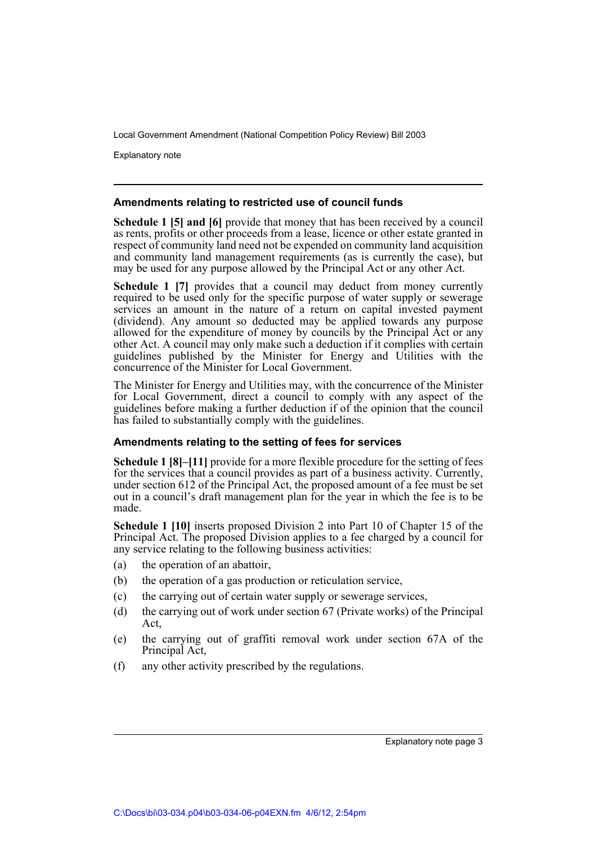Explanatory note

#### **Amendments relating to restricted use of council funds**

**Schedule 1 [5] and [6]** provide that money that has been received by a council as rents, profits or other proceeds from a lease, licence or other estate granted in respect of community land need not be expended on community land acquisition and community land management requirements (as is currently the case), but may be used for any purpose allowed by the Principal Act or any other Act.

**Schedule 1 [7]** provides that a council may deduct from money currently required to be used only for the specific purpose of water supply or sewerage services an amount in the nature of a return on capital invested payment (dividend). Any amount so deducted may be applied towards any purpose allowed for the expenditure of money by councils by the Principal Act or any other Act. A council may only make such a deduction if it complies with certain guidelines published by the Minister for Energy and Utilities with the concurrence of the Minister for Local Government.

The Minister for Energy and Utilities may, with the concurrence of the Minister for Local Government, direct a council to comply with any aspect of the guidelines before making a further deduction if of the opinion that the council has failed to substantially comply with the guidelines.

#### **Amendments relating to the setting of fees for services**

**Schedule 1 [8]–[11]** provide for a more flexible procedure for the setting of fees for the services that a council provides as part of a business activity. Currently, under section 612 of the Principal Act, the proposed amount of a fee must be set out in a council's draft management plan for the year in which the fee is to be made.

**Schedule 1 [10]** inserts proposed Division 2 into Part 10 of Chapter 15 of the Principal Act. The proposed Division applies to a fee charged by a council for any service relating to the following business activities:

- (a) the operation of an abattoir,
- (b) the operation of a gas production or reticulation service,
- (c) the carrying out of certain water supply or sewerage services,
- (d) the carrying out of work under section 67 (Private works) of the Principal Act,
- (e) the carrying out of graffiti removal work under section 67A of the Principal Act,
- (f) any other activity prescribed by the regulations.

Explanatory note page 3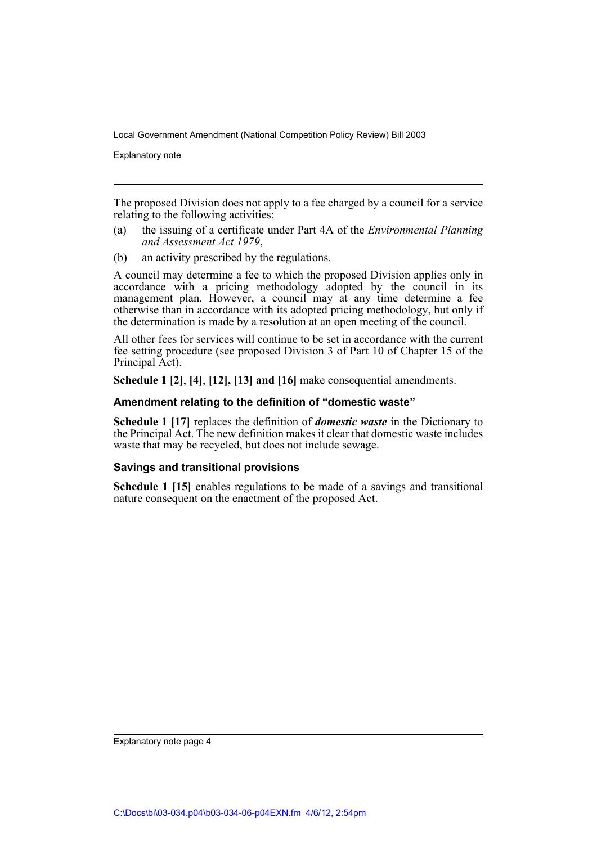Explanatory note

The proposed Division does not apply to a fee charged by a council for a service relating to the following activities:

- (a) the issuing of a certificate under Part 4A of the *Environmental Planning and Assessment Act 1979*,
- (b) an activity prescribed by the regulations.

A council may determine a fee to which the proposed Division applies only in accordance with a pricing methodology adopted by the council in its management plan. However, a council may at any time determine a fee otherwise than in accordance with its adopted pricing methodology, but only if the determination is made by a resolution at an open meeting of the council.

All other fees for services will continue to be set in accordance with the current fee setting procedure (see proposed Division 3 of Part 10 of Chapter 15 of the Principal Act).

**Schedule 1 [2]**, **[4]**, **[12], [13] and [16]** make consequential amendments.

#### **Amendment relating to the definition of "domestic waste"**

**Schedule 1 [17]** replaces the definition of *domestic waste* in the Dictionary to the Principal Act. The new definition makes it clear that domestic waste includes waste that may be recycled, but does not include sewage.

#### **Savings and transitional provisions**

**Schedule 1 [15]** enables regulations to be made of a savings and transitional nature consequent on the enactment of the proposed Act.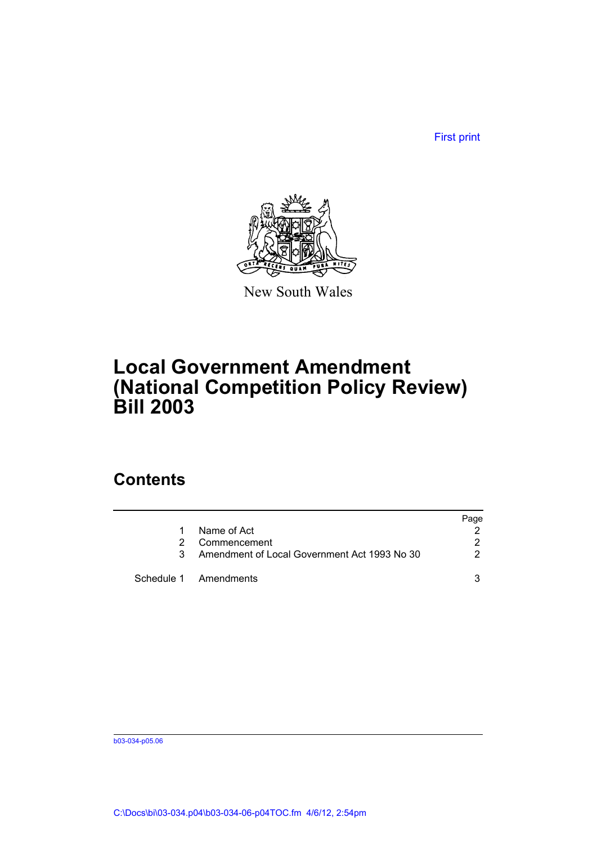First print



New South Wales

# **Local Government Amendment (National Competition Policy Review) Bill 2003**

## **Contents**

|               |                                              | Page |
|---------------|----------------------------------------------|------|
|               | Name of Act                                  |      |
| $\mathcal{P}$ | Commencement                                 | 2    |
| 3             | Amendment of Local Government Act 1993 No 30 | 2    |
|               | Schedule 1 Amendments                        |      |

b03-034-p05.06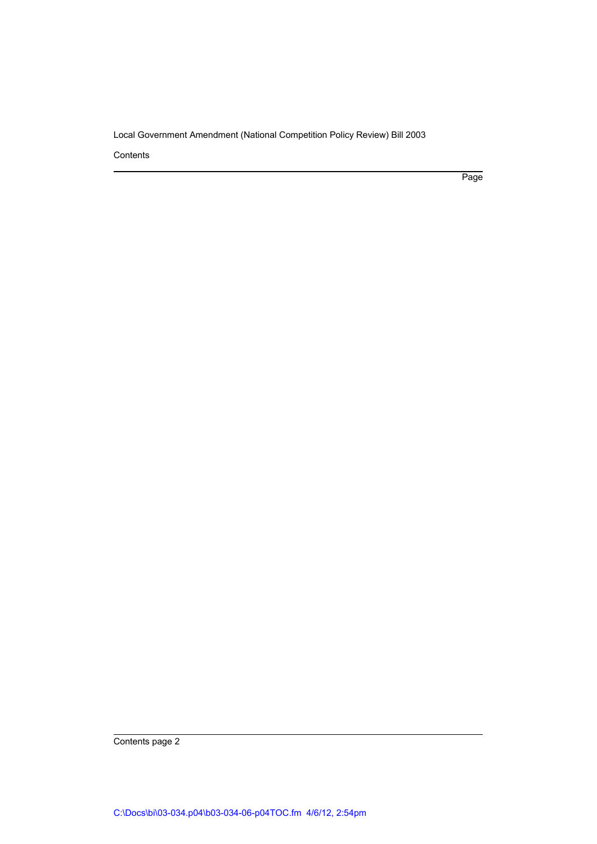Contents

Page

Contents page 2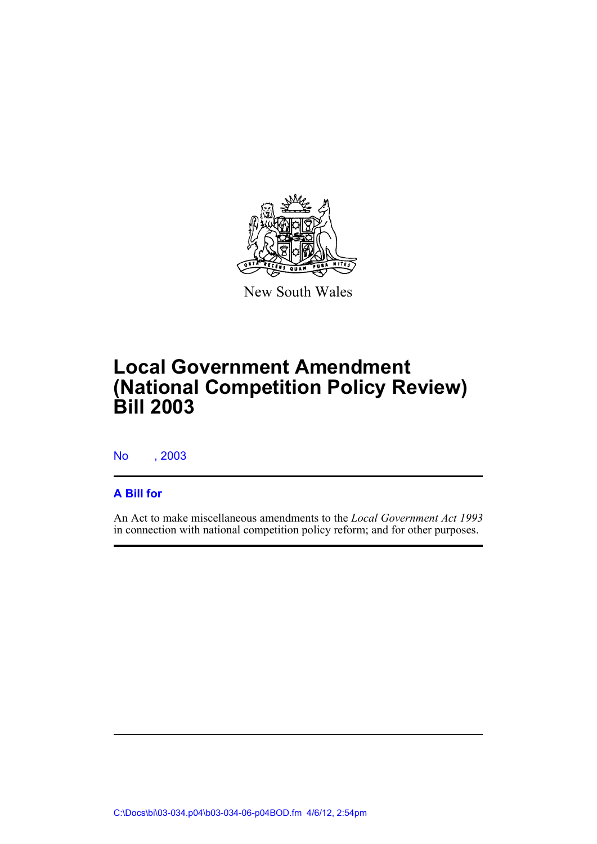

New South Wales

# **Local Government Amendment (National Competition Policy Review) Bill 2003**

No , 2003

### **A Bill for**

An Act to make miscellaneous amendments to the *Local Government Act 1993* in connection with national competition policy reform; and for other purposes.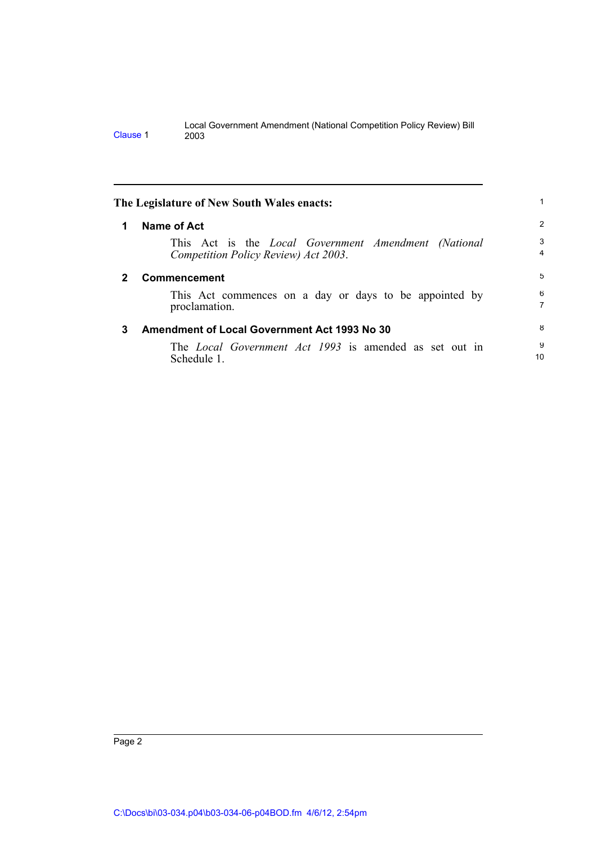<span id="page-7-2"></span><span id="page-7-1"></span><span id="page-7-0"></span>

| The Legislature of New South Wales enacts:                                                          |                     |
|-----------------------------------------------------------------------------------------------------|---------------------|
| Name of Act<br>1                                                                                    | 2                   |
| This Act is the <i>Local Government Amendment (National</i><br>Competition Policy Review) Act 2003. | 3<br>4              |
| <b>Commencement</b><br>$\mathbf{2}$                                                                 | 5                   |
| This Act commences on a day or days to be appointed by<br>proclamation.                             | 6<br>$\overline{7}$ |
| <b>Amendment of Local Government Act 1993 No 30</b><br>3                                            | 8                   |
| The <i>Local Government Act 1993</i> is amended as set out in<br>Schedule 1.                        | 9<br>10             |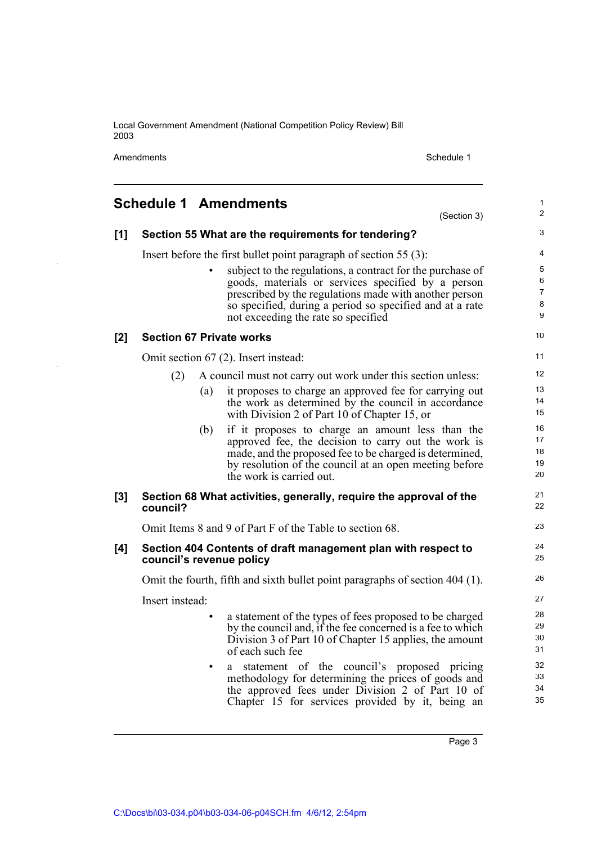Amendments Schedule 1

<span id="page-8-0"></span>

|     |                                                                                           |           | <b>Schedule 1 Amendments</b><br>(Section 3)                                                                        | $\mathbf{1}$<br>2   |  |  |  |
|-----|-------------------------------------------------------------------------------------------|-----------|--------------------------------------------------------------------------------------------------------------------|---------------------|--|--|--|
| [1] | Section 55 What are the requirements for tendering?                                       |           |                                                                                                                    |                     |  |  |  |
|     |                                                                                           |           | Insert before the first bullet point paragraph of section 55 $(3)$ :                                               | 4                   |  |  |  |
|     |                                                                                           |           | subject to the regulations, a contract for the purchase of                                                         | 5                   |  |  |  |
|     |                                                                                           |           | goods, materials or services specified by a person                                                                 | 6<br>$\overline{7}$ |  |  |  |
|     |                                                                                           |           | prescribed by the regulations made with another person<br>so specified, during a period so specified and at a rate | 8                   |  |  |  |
|     |                                                                                           |           | not exceeding the rate so specified                                                                                | 9                   |  |  |  |
| [2] |                                                                                           |           | <b>Section 67 Private works</b>                                                                                    | 10                  |  |  |  |
|     |                                                                                           |           | Omit section 67 (2). Insert instead:                                                                               | 11                  |  |  |  |
|     | (2)                                                                                       |           | A council must not carry out work under this section unless:                                                       | 12                  |  |  |  |
|     |                                                                                           | (a)       | it proposes to charge an approved fee for carrying out                                                             | 13                  |  |  |  |
|     |                                                                                           |           | the work as determined by the council in accordance<br>with Division 2 of Part 10 of Chapter 15, or                | 14<br>15            |  |  |  |
|     |                                                                                           | (b)       | if it proposes to charge an amount less than the                                                                   | 16                  |  |  |  |
|     |                                                                                           |           | approved fee, the decision to carry out the work is                                                                | 17                  |  |  |  |
|     |                                                                                           |           | made, and the proposed fee to be charged is determined,<br>by resolution of the council at an open meeting before  | 18<br>19            |  |  |  |
|     |                                                                                           |           | the work is carried out.                                                                                           | 20                  |  |  |  |
| [3] | council?                                                                                  |           | Section 68 What activities, generally, require the approval of the                                                 | 21<br>22            |  |  |  |
|     | Omit Items 8 and 9 of Part F of the Table to section 68.                                  |           |                                                                                                                    |                     |  |  |  |
| [4] | Section 404 Contents of draft management plan with respect to<br>council's revenue policy |           |                                                                                                                    |                     |  |  |  |
|     | Omit the fourth, fifth and sixth bullet point paragraphs of section 404 (1).              |           |                                                                                                                    |                     |  |  |  |
|     | Insert instead:                                                                           |           |                                                                                                                    |                     |  |  |  |
|     |                                                                                           | $\bullet$ | a statement of the types of fees proposed to be charged                                                            | 28                  |  |  |  |
|     |                                                                                           |           | by the council and, if the fee concerned is a fee to which                                                         | 29<br>30            |  |  |  |
|     |                                                                                           |           | Division 3 of Part 10 of Chapter 15 applies, the amount<br>of each such fee                                        | 31                  |  |  |  |
|     |                                                                                           | $\bullet$ | a statement of the council's proposed pricing                                                                      | 32                  |  |  |  |
|     |                                                                                           |           | methodology for determining the prices of goods and                                                                | 33<br>34            |  |  |  |
|     |                                                                                           |           | the approved fees under Division 2 of Part 10 of<br>Chapter 15 for services provided by it, being an               | 35                  |  |  |  |

Page 3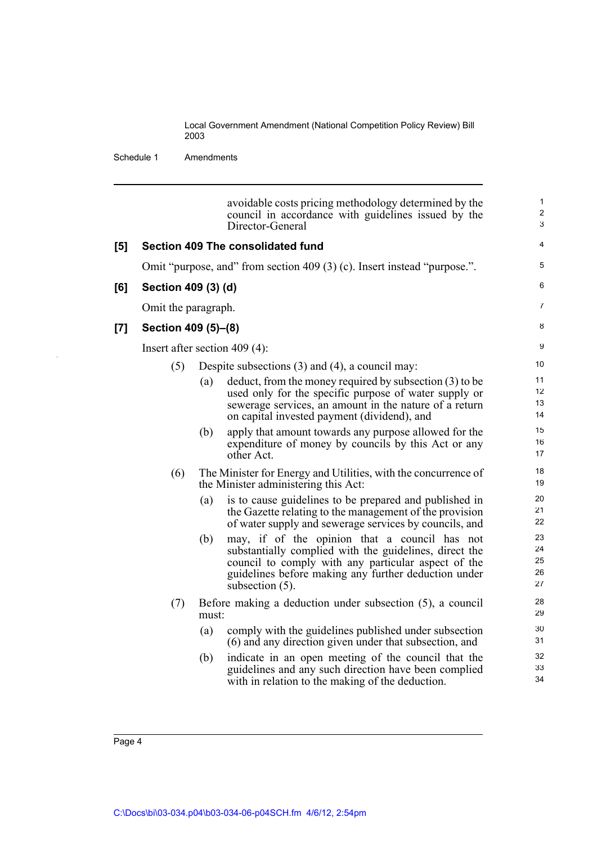Schedule 1 Amendments

avoidable costs pricing methodology determined by the council in accordance with guidelines issued by the Director-General **[5] Section 409 The consolidated fund** Omit "purpose, and" from section 409 (3) (c). Insert instead "purpose.". **[6] Section 409 (3) (d)** Omit the paragraph. **[7] Section 409 (5)–(8)** Insert after section 409 (4): (5) Despite subsections (3) and (4), a council may: (a) deduct, from the money required by subsection (3) to be used only for the specific purpose of water supply or sewerage services, an amount in the nature of a return on capital invested payment (dividend), and (b) apply that amount towards any purpose allowed for the expenditure of money by councils by this Act or any other Act. (6) The Minister for Energy and Utilities, with the concurrence of the Minister administering this Act: (a) is to cause guidelines to be prepared and published in the Gazette relating to the management of the provision of water supply and sewerage services by councils, and (b) may, if of the opinion that a council has not substantially complied with the guidelines, direct the council to comply with any particular aspect of the guidelines before making any further deduction under subsection (5). (7) Before making a deduction under subsection (5), a council must: (a) comply with the guidelines published under subsection (6) and any direction given under that subsection, and (b) indicate in an open meeting of the council that the guidelines and any such direction have been complied with in relation to the making of the deduction. 1  $\overline{2}$ 3 4 5 6 7 8 9 10 11 12 13 14 15 16 17 18 19 20 21 22 23 24 25 26 27 28 29 30 31 32 33 34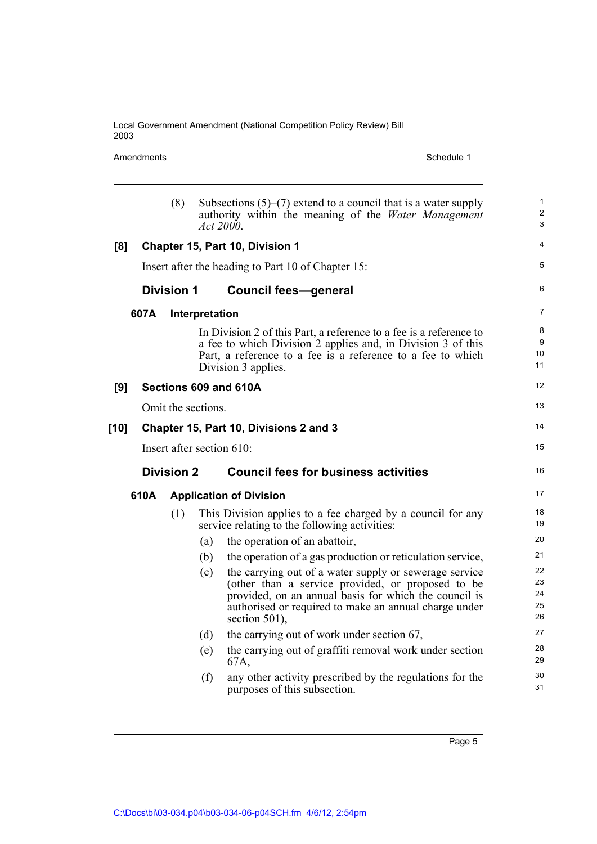l.

 $\ddot{\phantom{1}}$ 

|        | Amendments                             |                    |                | Schedule 1                                                                                                                                                                                                                                        |  |
|--------|----------------------------------------|--------------------|----------------|---------------------------------------------------------------------------------------------------------------------------------------------------------------------------------------------------------------------------------------------------|--|
|        |                                        | (8)                |                | Subsections $(5)$ – $(7)$ extend to a council that is a water supply<br>authority within the meaning of the <i>Water Management</i><br>Act 2000.                                                                                                  |  |
| [8]    |                                        |                    |                | Chapter 15, Part 10, Division 1                                                                                                                                                                                                                   |  |
|        |                                        |                    |                | Insert after the heading to Part 10 of Chapter 15:                                                                                                                                                                                                |  |
|        |                                        | <b>Division 1</b>  |                | <b>Council fees-general</b>                                                                                                                                                                                                                       |  |
|        | 607A                                   |                    | Interpretation |                                                                                                                                                                                                                                                   |  |
|        |                                        |                    |                | In Division 2 of this Part, a reference to a fee is a reference to<br>a fee to which Division 2 applies and, in Division 3 of this<br>Part, a reference to a fee is a reference to a fee to which<br>Division 3 applies.                          |  |
| [9]    | Sections 609 and 610A                  |                    |                |                                                                                                                                                                                                                                                   |  |
|        |                                        | Omit the sections. |                |                                                                                                                                                                                                                                                   |  |
| $[10]$ | Chapter 15, Part 10, Divisions 2 and 3 |                    |                |                                                                                                                                                                                                                                                   |  |
|        | Insert after section 610:              |                    |                |                                                                                                                                                                                                                                                   |  |
|        |                                        |                    |                | <b>Council fees for business activities</b>                                                                                                                                                                                                       |  |
|        | <b>Division 2</b>                      |                    |                |                                                                                                                                                                                                                                                   |  |
|        | 610A                                   |                    |                | <b>Application of Division</b>                                                                                                                                                                                                                    |  |
|        |                                        | (1)                |                | This Division applies to a fee charged by a council for any<br>service relating to the following activities:                                                                                                                                      |  |
|        |                                        |                    | (a)            | the operation of an abattoir,                                                                                                                                                                                                                     |  |
|        |                                        |                    | (b)            | the operation of a gas production or reticulation service,                                                                                                                                                                                        |  |
|        |                                        |                    | (c)            | the carrying out of a water supply or sewerage service<br>(other than a service provided, or proposed to be<br>provided, on an annual basis for which the council is<br>authorised or required to make an annual charge under<br>section $501$ ), |  |
|        |                                        |                    | (d)            | the carrying out of work under section 67,                                                                                                                                                                                                        |  |
|        |                                        |                    | (e)            | the carrying out of graffiti removal work under section<br>67A,                                                                                                                                                                                   |  |
|        |                                        |                    | (f)            | any other activity prescribed by the regulations for the<br>purposes of this subsection.                                                                                                                                                          |  |

Page 5

1 2 3

4

5

6

14

15

16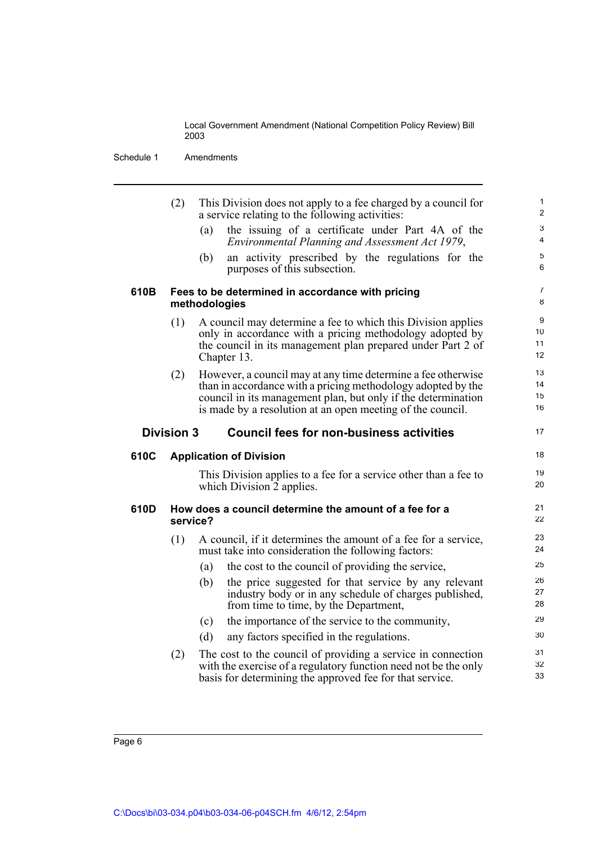Schedule 1 Amendments

|      | (2)                                                                | This Division does not apply to a fee charged by a council for<br>a service relating to the following activities:                                                                                                                                           | 1<br>$\overline{c}$  |  |  |  |  |
|------|--------------------------------------------------------------------|-------------------------------------------------------------------------------------------------------------------------------------------------------------------------------------------------------------------------------------------------------------|----------------------|--|--|--|--|
|      |                                                                    | the issuing of a certificate under Part 4A of the<br>(a)<br>Environmental Planning and Assessment Act 1979,                                                                                                                                                 | 3<br>4               |  |  |  |  |
|      |                                                                    | (b)<br>an activity prescribed by the regulations for the<br>purposes of this subsection.                                                                                                                                                                    | 5<br>6               |  |  |  |  |
| 610B |                                                                    | Fees to be determined in accordance with pricing<br>methodologies                                                                                                                                                                                           | 7<br>8               |  |  |  |  |
|      | (1)                                                                | A council may determine a fee to which this Division applies<br>only in accordance with a pricing methodology adopted by<br>the council in its management plan prepared under Part 2 of<br>Chapter 13.                                                      | 9<br>10<br>11<br>12  |  |  |  |  |
|      | (2)                                                                | However, a council may at any time determine a fee otherwise<br>than in accordance with a pricing methodology adopted by the<br>council in its management plan, but only if the determination<br>is made by a resolution at an open meeting of the council. | 13<br>14<br>15<br>16 |  |  |  |  |
|      | <b>Division 3</b>                                                  | <b>Council fees for non-business activities</b>                                                                                                                                                                                                             | 17                   |  |  |  |  |
| 610C | <b>Application of Division</b>                                     |                                                                                                                                                                                                                                                             |                      |  |  |  |  |
|      |                                                                    | This Division applies to a fee for a service other than a fee to<br>which Division 2 applies.                                                                                                                                                               | 19<br>20             |  |  |  |  |
| 610D | How does a council determine the amount of a fee for a<br>service? |                                                                                                                                                                                                                                                             |                      |  |  |  |  |
|      | (1)                                                                | A council, if it determines the amount of a fee for a service,<br>must take into consideration the following factors:                                                                                                                                       | 23<br>24             |  |  |  |  |
|      |                                                                    | the cost to the council of providing the service,<br>(a)                                                                                                                                                                                                    | 25                   |  |  |  |  |
|      |                                                                    | the price suggested for that service by any relevant<br>(b)<br>industry body or in any schedule of charges published,<br>from time to time, by the Department,                                                                                              | 26<br>27<br>28       |  |  |  |  |
|      |                                                                    | the importance of the service to the community,<br>(c)                                                                                                                                                                                                      | 29                   |  |  |  |  |
|      |                                                                    | (d)<br>any factors specified in the regulations.                                                                                                                                                                                                            | 30                   |  |  |  |  |
|      | (2)                                                                | The cost to the council of providing a service in connection<br>with the exercise of a regulatory function need not be the only<br>basis for determining the approved fee for that service.                                                                 | 31<br>32<br>33       |  |  |  |  |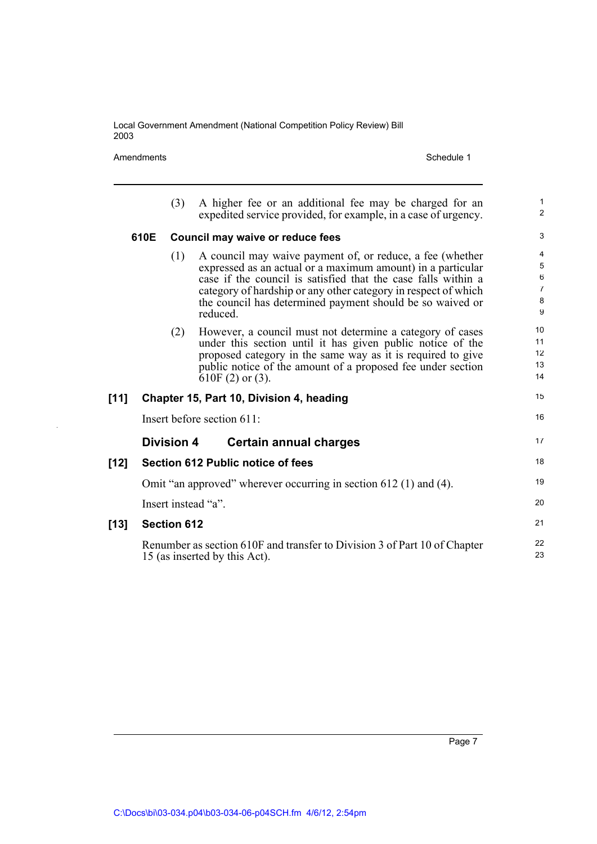Amendments Schedule 1

l.

|        |                                   | (3)                                                               | A higher fee or an additional fee may be charged for an<br>expedited service provided, for example, in a case of urgency.                                                                                                                                                                                                            | 1<br>$\overline{2}$                     |  |  |  |  |
|--------|-----------------------------------|-------------------------------------------------------------------|--------------------------------------------------------------------------------------------------------------------------------------------------------------------------------------------------------------------------------------------------------------------------------------------------------------------------------------|-----------------------------------------|--|--|--|--|
|        | 610E                              |                                                                   | Council may waive or reduce fees                                                                                                                                                                                                                                                                                                     | 3                                       |  |  |  |  |
|        |                                   | (1)                                                               | A council may waive payment of, or reduce, a fee (whether<br>expressed as an actual or a maximum amount) in a particular<br>case if the council is satisfied that the case falls within a<br>category of hardship or any other category in respect of which<br>the council has determined payment should be so waived or<br>reduced. | 4<br>5<br>6<br>$\overline{7}$<br>8<br>9 |  |  |  |  |
|        |                                   | (2)                                                               | However, a council must not determine a category of cases<br>under this section until it has given public notice of the<br>proposed category in the same way as it is required to give<br>public notice of the amount of a proposed fee under section<br>$610F(2)$ or $(3)$ .                                                        | 10<br>11<br>12<br>13<br>14              |  |  |  |  |
| $[11]$ |                                   |                                                                   | Chapter 15, Part 10, Division 4, heading                                                                                                                                                                                                                                                                                             | 15                                      |  |  |  |  |
|        |                                   | Insert before section 611:                                        |                                                                                                                                                                                                                                                                                                                                      |                                         |  |  |  |  |
|        |                                   | <b>Division 4</b>                                                 | <b>Certain annual charges</b>                                                                                                                                                                                                                                                                                                        | 17                                      |  |  |  |  |
| [12]   | Section 612 Public notice of fees |                                                                   |                                                                                                                                                                                                                                                                                                                                      |                                         |  |  |  |  |
|        |                                   | Omit "an approved" wherever occurring in section 612 (1) and (4). |                                                                                                                                                                                                                                                                                                                                      |                                         |  |  |  |  |
|        |                                   | Insert instead "a".                                               |                                                                                                                                                                                                                                                                                                                                      |                                         |  |  |  |  |
| [13]   |                                   | <b>Section 612</b>                                                |                                                                                                                                                                                                                                                                                                                                      | 21                                      |  |  |  |  |
|        |                                   |                                                                   | Renumber as section 610F and transfer to Division 3 of Part 10 of Chapter<br>15 (as inserted by this Act).                                                                                                                                                                                                                           | 22<br>23                                |  |  |  |  |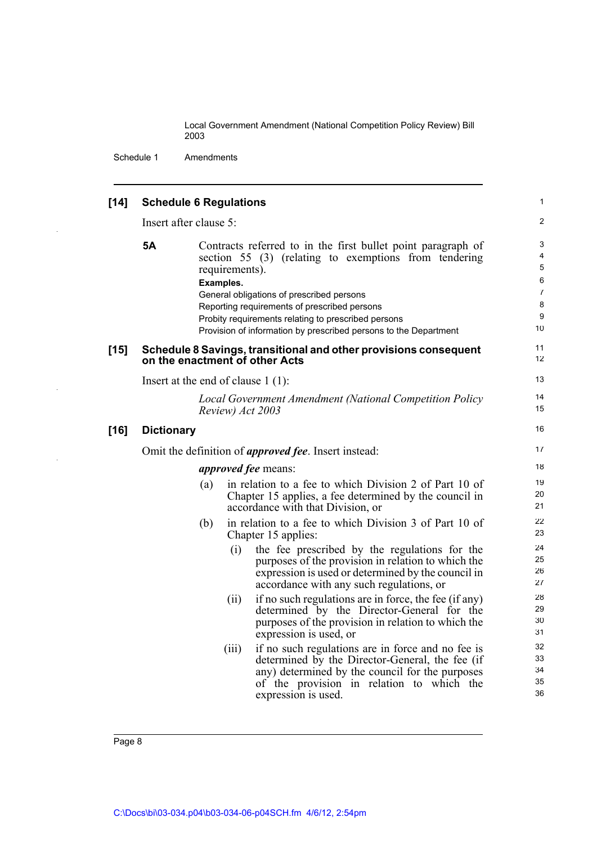Schedule 1 Amendments

| $[14]$ | <b>Schedule 6 Regulations</b>                                                                      |           |                |                                                                                                                                                                                                                                                                                                                                               |                                       |  |  |
|--------|----------------------------------------------------------------------------------------------------|-----------|----------------|-----------------------------------------------------------------------------------------------------------------------------------------------------------------------------------------------------------------------------------------------------------------------------------------------------------------------------------------------|---------------------------------------|--|--|
|        | Insert after clause 5:                                                                             |           |                |                                                                                                                                                                                                                                                                                                                                               |                                       |  |  |
|        | <b>5A</b>                                                                                          | Examples. | requirements). | Contracts referred to in the first bullet point paragraph of<br>section 55 (3) (relating to exemptions from tendering<br>General obligations of prescribed persons<br>Reporting requirements of prescribed persons<br>Probity requirements relating to prescribed persons<br>Provision of information by prescribed persons to the Department | 3<br>4<br>5<br>6<br>7<br>8<br>9<br>10 |  |  |
| $[15]$ | Schedule 8 Savings, transitional and other provisions consequent<br>on the enactment of other Acts |           |                |                                                                                                                                                                                                                                                                                                                                               |                                       |  |  |
|        | Insert at the end of clause $1(1)$ :                                                               |           |                |                                                                                                                                                                                                                                                                                                                                               | 13                                    |  |  |
|        |                                                                                                    |           |                | Local Government Amendment (National Competition Policy<br>Review) Act 2003                                                                                                                                                                                                                                                                   | 14<br>15                              |  |  |
| $[16]$ | <b>Dictionary</b>                                                                                  |           |                |                                                                                                                                                                                                                                                                                                                                               | 16                                    |  |  |
|        | Omit the definition of <i>approved fee</i> . Insert instead:                                       |           |                |                                                                                                                                                                                                                                                                                                                                               |                                       |  |  |
|        | <i>approved fee means:</i>                                                                         |           |                |                                                                                                                                                                                                                                                                                                                                               |                                       |  |  |
|        |                                                                                                    | (a)       |                | in relation to a fee to which Division 2 of Part 10 of<br>Chapter 15 applies, a fee determined by the council in<br>accordance with that Division, or                                                                                                                                                                                         | 19<br>20<br>21                        |  |  |
|        |                                                                                                    | (b)       |                | in relation to a fee to which Division 3 of Part 10 of<br>Chapter 15 applies:                                                                                                                                                                                                                                                                 | 22<br>23                              |  |  |
|        |                                                                                                    |           | (i)            | the fee prescribed by the regulations for the<br>purposes of the provision in relation to which the<br>expression is used or determined by the council in<br>accordance with any such regulations, or                                                                                                                                         | 24<br>25<br>26<br>27                  |  |  |
|        |                                                                                                    |           | (ii)           | if no such regulations are in force, the fee (if any)<br>determined by the Director-General for the<br>purposes of the provision in relation to which the<br>expression is used, or                                                                                                                                                           | 28<br>29<br>30<br>31                  |  |  |
|        |                                                                                                    |           | (iii)          | if no such regulations are in force and no fee is<br>determined by the Director-General, the fee (if<br>any) determined by the council for the purposes<br>of the provision in relation to which the<br>expression is used.                                                                                                                   | 32<br>33<br>34<br>35<br>36            |  |  |

Page 8